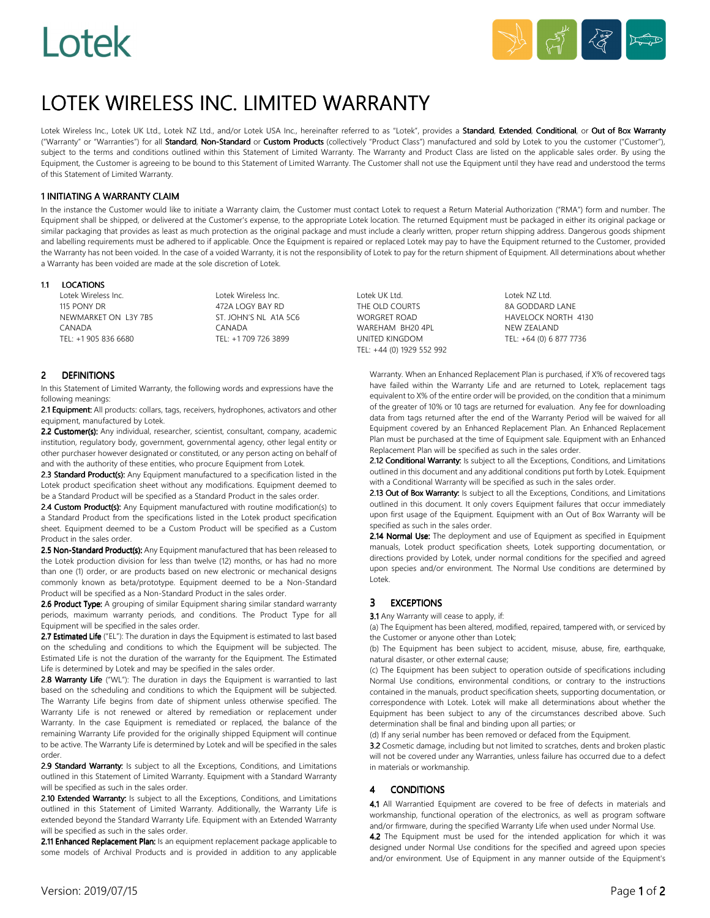# Lotek



## LOTEK WIRELESS INC. LIMITED WARRANTY

Lotek Wireless Inc., Lotek UK Ltd., Lotek NZ Ltd., and/or Lotek USA Inc., hereinafter referred to as "Lotek", provides a Standard, Extended, Conditional, or Out of Box Warranty ("Warranty" or "Warranties") for all Standard, Non-Standard or Custom Products (collectively "Product Class") manufactured and sold by Lotek to you the customer ("Customer"), subject to the terms and conditions outlined within this Statement of Limited Warranty. The Warranty and Product Class are listed on the applicable sales order. By using the Equipment, the Customer is agreeing to be bound to this Statement of Limited Warranty. The Customer shall not use the Equipment until they have read and understood the terms of this Statement of Limited Warranty.

#### **1 INITIATING A WARRANTY CLAIM**

In the instance the Customer would like to initiate a Warranty claim, the Customer must contact Lotek to request a Return Material Authorization ("RMA") form and number. The Equipment shall be shipped, or delivered at the Customer's expense, to the appropriate Lotek location. The returned Equipment must be packaged in either its original package or similar packaging that provides as least as much protection as the original package and must include a clearly written, proper return shipping address. Dangerous goods shipment and labelling requirements must be adhered to if applicable. Once the Equipment is repaired or replaced Lotek may pay to have the Equipment returned to the Customer, provided the Warranty has not been voided. In the case of a voided Warranty, it is not the responsibility of Lotek to pay for the return shipment of Equipment. All determinations about whether a Warranty has been voided are made at the sole discretion of Lotek.

#### 1.1 LOCATIONS

Lotek Wireless Inc. Lotek Wireless Inc. Lotek UK Ltd. Lotek NZ Ltd. 115 PONY DR 472A LOGY BAY RD THE OLD COURTS 8A GODDARD LANE NEWMARKET ON L3Y 7B5 CANADA CANADA WAREHAM BH20 4PL NEW ZEALAND

#### 2 DEFINITIONS

In this Statement of Limited Warranty, the following words and expressions have the following meanings:

2.1 Equipment: All products: collars, tags, receivers, hydrophones, activators and other equipment, manufactured by Lotek.

2.2 Customer(s): Any individual, researcher, scientist, consultant, company, academic institution, regulatory body, government, governmental agency, other legal entity or other purchaser however designated or constituted, or any person acting on behalf of and with the authority of these entities, who procure Equipment from Lotek.

2.3 Standard Product(s): Any Equipment manufactured to a specification listed in the Lotek product specification sheet without any modifications. Equipment deemed to be a Standard Product will be specified as a Standard Product in the sales order.

2.4 Custom Product(s): Any Equipment manufactured with routine modification(s) to a Standard Product from the specifications listed in the Lotek product specification sheet. Equipment deemed to be a Custom Product will be specified as a Custom Product in the sales order.

2.5 Non-Standard Product(s): Any Equipment manufactured that has been released to the Lotek production division for less than twelve (12) months, or has had no more than one (1) order, or are products based on new electronic or mechanical designs commonly known as beta/prototype. Equipment deemed to be a Non-Standard Product will be specified as a Non-Standard Product in the sales order.

2.6 Product Type: A grouping of similar Equipment sharing similar standard warranty periods, maximum warranty periods, and conditions. The Product Type for all Equipment will be specified in the sales order.

2.7 Estimated Life ("EL"): The duration in days the Equipment is estimated to last based on the scheduling and conditions to which the Equipment will be subjected. The Estimated Life is not the duration of the warranty for the Equipment. The Estimated Life is determined by Lotek and may be specified in the sales order.

2.8 Warranty Life ("WL"): The duration in days the Equipment is warrantied to last based on the scheduling and conditions to which the Equipment will be subjected. The Warranty Life begins from date of shipment unless otherwise specified. The Warranty Life is not renewed or altered by remediation or replacement under Warranty. In the case Equipment is remediated or replaced, the balance of the remaining Warranty Life provided for the originally shipped Equipment will continue to be active. The Warranty Life is determined by Lotek and will be specified in the sales order.

2.9 Standard Warranty: Is subject to all the Exceptions, Conditions, and Limitations outlined in this Statement of Limited Warranty. Equipment with a Standard Warranty will be specified as such in the sales order.

2.10 Extended Warranty: Is subject to all the Exceptions, Conditions, and Limitations outlined in this Statement of Limited Warranty. Additionally, the Warranty Life is extended beyond the Standard Warranty Life. Equipment with an Extended Warranty will be specified as such in the sales order.

2.11 Enhanced Replacement Plan: Is an equipment replacement package applicable to some models of Archival Products and is provided in addition to any applicable UNITED KINGDOM TEL: +64 (0) 6 877 7736 TEL: +44 (0) 1929 552 992

Warranty. When an Enhanced Replacement Plan is purchased, if X% of recovered tags have failed within the Warranty Life and are returned to Lotek, replacement tags equivalent to X% of the entire order will be provided, on the condition that a minimum of the greater of 10% or 10 tags are returned for evaluation. Any fee for downloading data from tags returned after the end of the Warranty Period will be waived for all Equipment covered by an Enhanced Replacement Plan. An Enhanced Replacement Plan must be purchased at the time of Equipment sale. Equipment with an Enhanced Replacement Plan will be specified as such in the sales order.

2.12 Conditional Warranty: Is subject to all the Exceptions, Conditions, and Limitations outlined in this document and any additional conditions put forth by Lotek. Equipment with a Conditional Warranty will be specified as such in the sales order.

2.13 Out of Box Warranty: Is subject to all the Exceptions, Conditions, and Limitations outlined in this document. It only covers Equipment failures that occur immediately upon first usage of the Equipment. Equipment with an Out of Box Warranty will be specified as such in the sales order.

2.14 Normal Use: The deployment and use of Equipment as specified in Equipment manuals, Lotek product specification sheets, Lotek supporting documentation, or directions provided by Lotek, under normal conditions for the specified and agreed upon species and/or environment. The Normal Use conditions are determined by Lotek.

### 3 EXCEPTIONS

3.1 Any Warranty will cease to apply, if:

(a) The Equipment has been altered, modified, repaired, tampered with, or serviced by the Customer or anyone other than Lotek;

(b) The Equipment has been subject to accident, misuse, abuse, fire, earthquake, natural disaster, or other external cause;

(c) The Equipment has been subject to operation outside of specifications including Normal Use conditions, environmental conditions, or contrary to the instructions contained in the manuals, product specification sheets, supporting documentation, or correspondence with Lotek. Lotek will make all determinations about whether the Equipment has been subject to any of the circumstances described above. Such determination shall be final and binding upon all parties; or

(d) If any serial number has been removed or defaced from the Equipment.

3.2 Cosmetic damage, including but not limited to scratches, dents and broken plastic will not be covered under any Warranties, unless failure has occurred due to a defect in materials or workmanship.

#### 4 CONDITIONS

4.1 All Warrantied Equipment are covered to be free of defects in materials and workmanship, functional operation of the electronics, as well as program software and/or firmware, during the specified Warranty Life when used under Normal Use.

4.2 The Equipment must be used for the intended application for which it was designed under Normal Use conditions for the specified and agreed upon species and/or environment. Use of Equipment in any manner outside of the Equipment's